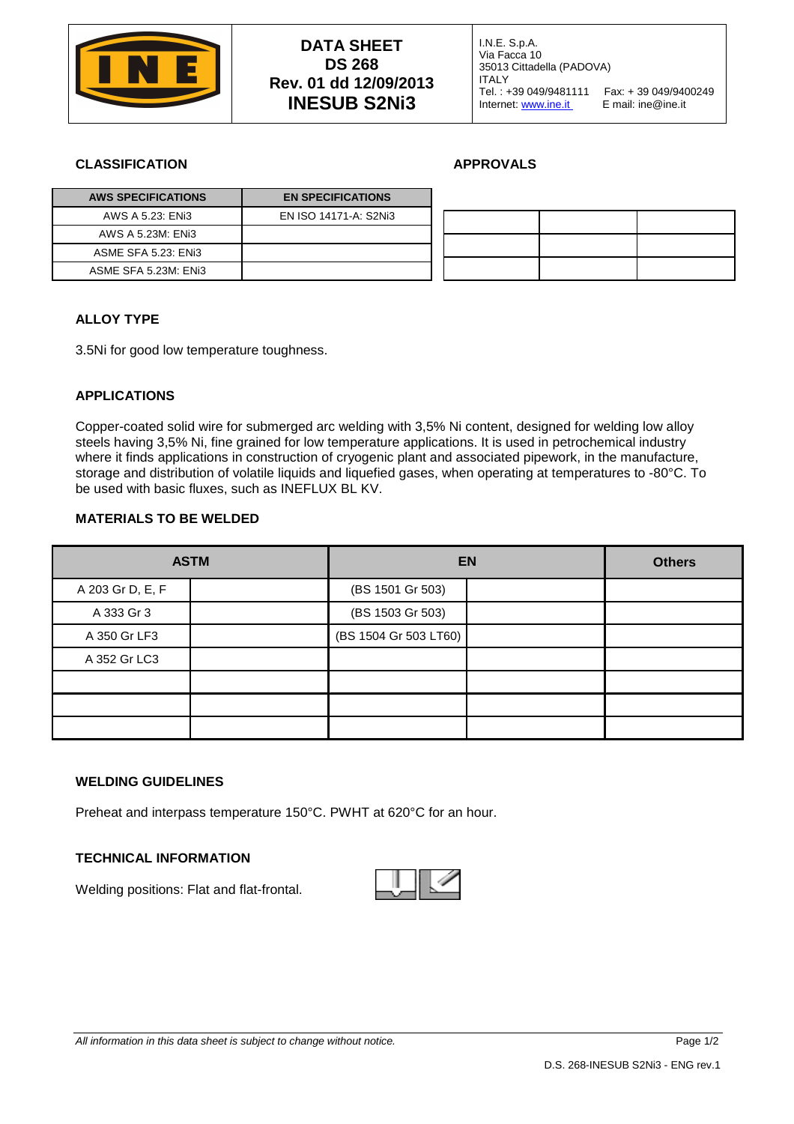

### **CLASSIFICATION APPROVALS**

| <b>AWS SPECIFICATIONS</b> | <b>EN SPECIFICATIONS</b> |
|---------------------------|--------------------------|
| AWS A 5.23: ENi3          | EN ISO 14171-A: S2Ni3    |
| AWS A 5.23M: ENi3         |                          |
| ASME SFA 5.23: ENI3       |                          |
| ASME SFA 5.23M: ENi3      |                          |

# **ALLOY TYPE**

3.5Ni for good low temperature toughness.

# **APPLICATIONS**

Copper-coated solid wire for submerged arc welding with 3,5% Ni content, designed for welding low alloy steels having 3,5% Ni, fine grained for low temperature applications. It is used in petrochemical industry where it finds applications in construction of cryogenic plant and associated pipework, in the manufacture, storage and distribution of volatile liquids and liquefied gases, when operating at temperatures to -80°C. To be used with basic fluxes, such as INEFLUX BL KV.

# **MATERIALS TO BE WELDED**

|                  | <b>ASTM</b> | <b>EN</b>             | <b>Others</b> |  |
|------------------|-------------|-----------------------|---------------|--|
| A 203 Gr D, E, F |             | (BS 1501 Gr 503)      |               |  |
| A 333 Gr 3       |             | (BS 1503 Gr 503)      |               |  |
| A 350 Gr LF3     |             | (BS 1504 Gr 503 LT60) |               |  |
| A 352 Gr LC3     |             |                       |               |  |
|                  |             |                       |               |  |
|                  |             |                       |               |  |
|                  |             |                       |               |  |

### **WELDING GUIDELINES**

Preheat and interpass temperature 150°C. PWHT at 620°C for an hour.

#### **TECHNICAL INFORMATION**

Welding positions: Flat and flat-frontal.